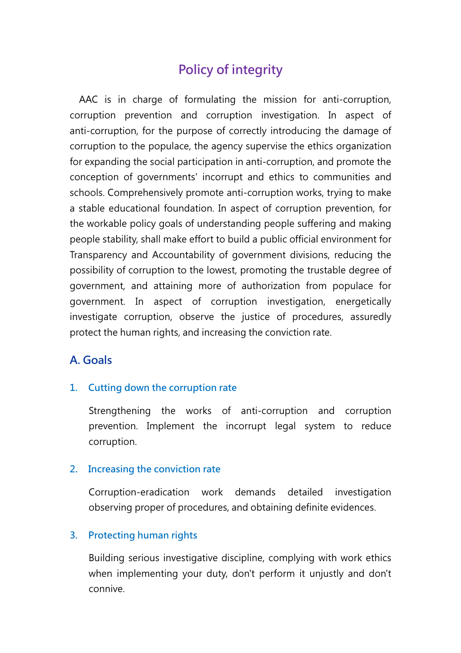# Policy of integrity

AAC is in charge of formulating the mission for anti-corruption, corruption prevention and corruption investigation. In aspect of anti-corruption, for the purpose of correctly introducing the damage of corruption to the populace, the agency supervise the ethics organization for expanding the social participation in anti-corruption, and promote the conception of governments' incorrupt and ethics to communities and schools. Comprehensively promote anti-corruption works, trying to make a stable educational foundation. In aspect of corruption prevention, for the workable policy goals of understanding people suffering and making people stability, shall make effort to build a public official environment for Transparency and Accountability of government divisions, reducing the possibility of corruption to the lowest, promoting the trustable degree of government, and attaining more of authorization from populace for government. In aspect of corruption investigation, energetically investigate corruption, observe the justice of procedures, assuredly protect the human rights, and increasing the conviction rate.

# A. Goals

### 1. Cutting down the corruption rate

Strengthening the works of anti-corruption and corruption prevention. Implement the incorrupt legal system to reduce corruption.

### 2. Increasing the conviction rate

Corruption-eradication work demands detailed investigation observing proper of procedures, and obtaining definite evidences.

### 3. Protecting human rights

Building serious investigative discipline, complying with work ethics when implementing your duty, don't perform it unjustly and don't connive.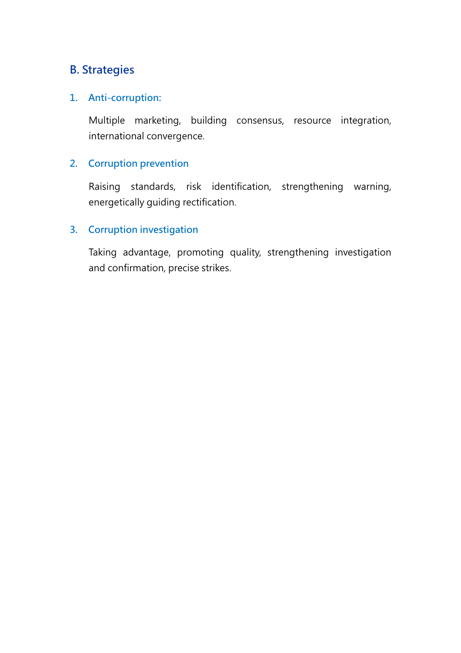# B. Strategies

### 1. Anti-corruption:

Multiple marketing, building consensus, resource integration, international convergence.

# 2. Corruption prevention

Raising standards, risk identification, strengthening warning, energetically guiding rectification.

# 3. Corruption investigation

Taking advantage, promoting quality, strengthening investigation and confirmation, precise strikes.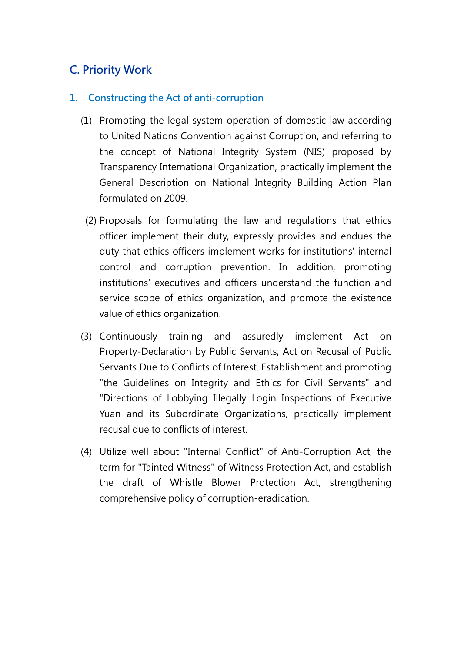# C. Priority Work

# 1. Constructing the Act of anti-corruption

- (1) Promoting the legal system operation of domestic law according to United Nations Convention against Corruption, and referring to the concept of National Integrity System (NIS) proposed by Transparency International Organization, practically implement the General Description on National Integrity Building Action Plan formulated on 2009.
	- (2) Proposals for formulating the law and regulations that ethics officer implement their duty, expressly provides and endues the duty that ethics officers implement works for institutions' internal control and corruption prevention. In addition, promoting institutions' executives and officers understand the function and service scope of ethics organization, and promote the existence value of ethics organization.
- (3) Continuously training and assuredly implement Act on Property-Declaration by Public Servants, Act on Recusal of Public Servants Due to Conflicts of Interest. Establishment and promoting "the Guidelines on Integrity and Ethics for Civil Servants" and "Directions of Lobbying Illegally Login Inspections of Executive Yuan and its Subordinate Organizations, practically implement recusal due to conflicts of interest.
- (4) Utilize well about "Internal Conflict" of Anti-Corruption Act, the term for "Tainted Witness" of Witness Protection Act, and establish the draft of Whistle Blower Protection Act, strengthening comprehensive policy of corruption-eradication.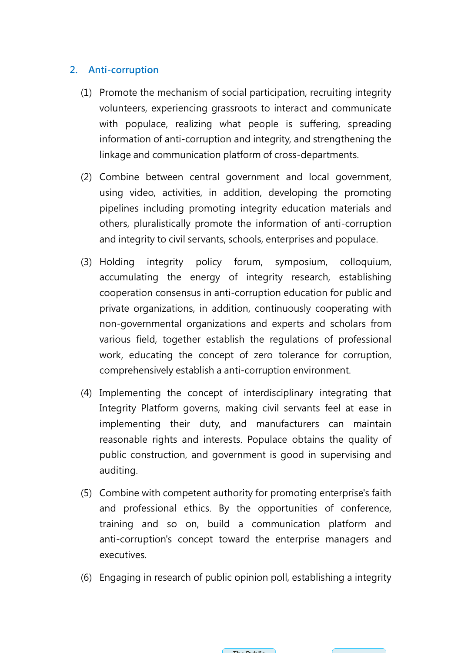## 2. Anti-corruption

- (1) Promote the mechanism of social participation, recruiting integrity volunteers, experiencing grassroots to interact and communicate with populace, realizing what people is suffering, spreading information of anti-corruption and integrity, and strengthening the linkage and communication platform of cross-departments.
- (2) Combine between central government and local government, using video, activities, in addition, developing the promoting pipelines including promoting integrity education materials and others, pluralistically promote the information of anti and integrity to civil servants, schools, enterprises and populace.
- (3) Holding integrity policy forum, symposium, colloquium, accumulating the energy of integrity research, establishing cooperation consensus in anti-corruption education for public and private organizations, in addition, continuously cooperating with non-governmental organizations and experts and scholars from various field, together establish the regulations of professional work, educating the concept of zero tolerance for corruption, comprehensively establish a anti-corruption environment. governmental organizations and experts and scholars from<br>us field, together establish the regulations of professiona<br>, educating the concept of zero tolerance for corruption nformation of anti-corruption and integrity, and strengthening the<br>nkage and communication platform of cross-departments.<br>combine between central government and local government,<br>corruptions<br>in which deconstant and local g
- (4) Implementing the concept of interdisciplinary integrating that Integrity Platform governs, making civil servants feel at ease in implementing their duty, and manufacturers can maintain reasonable rights and interests. Populace obtains the quality of public construction, and government is good in supervising and auditing. lish a anti-corruption<br>ncept of interdiscipli<br>erns, making civil se<br>duty, and manufac<br>interests. Populace<br>ind government is go<br>the authority for prom<br>cs. By the opportu
- (5) Combine with competent authority for promoting enterprise's faith and professional ethics. By the opportunities of conference, training and so on, build a communication platform and anti-corruption's concept toward the enterprise managers and executives.
- (6) Engaging in research of public opinion poll, establishing a integrity

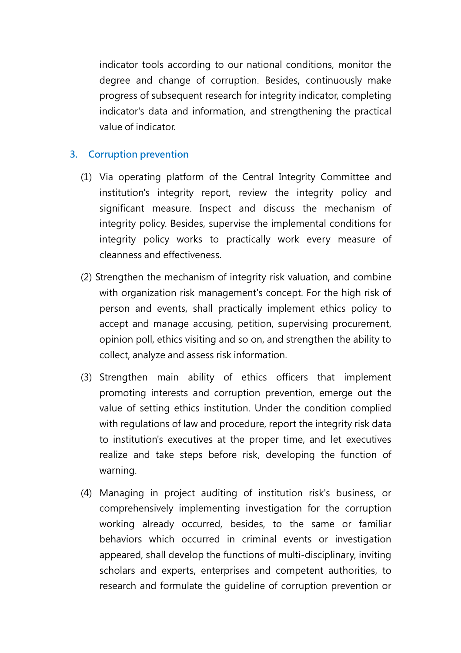indicator tools according to our national conditions, monitor the degree and change of corruption. Besides, continuously make progress of subsequent research for integrity indicator, completing indicator's data and information, and strengthening the practical value of indicator.

## 3. Corruption prevention

- (1) Via operating platform of the Central Integrity Committee and institution's integrity report, review the integrity policy and significant measure. Inspect and discuss the mechanism of integrity policy. Besides, supervise the implemental conditions for integrity policy works to practically work every measure of cleanness and effectiveness.
- (2) Strengthen the mechanism of integrity risk valuation, and combine with organization risk management's concept. For the high risk of person and events, shall practically implement ethics policy to accept and manage accusing, petition, supervising procurement, opinion poll, ethics visiting and so on, and strengthen the ability to collect, analyze and assess risk information.
- (3) Strengthen main ability of ethics officers that implement promoting interests and corruption prevention, emerge out the value of setting ethics institution. Under the condition complied with regulations of law and procedure, report the integrity risk data to institution's executives at the proper time, and let executives realize and take steps before risk, developing the function of warning.
- (4) Managing in project auditing of institution risk's business, or comprehensively implementing investigation for the corruption working already occurred, besides, to the same or familiar behaviors which occurred in criminal events or investigation appeared, shall develop the functions of multi-disciplinary, inviting scholars and experts, enterprises and competent authorities, to research and formulate the guideline of corruption prevention or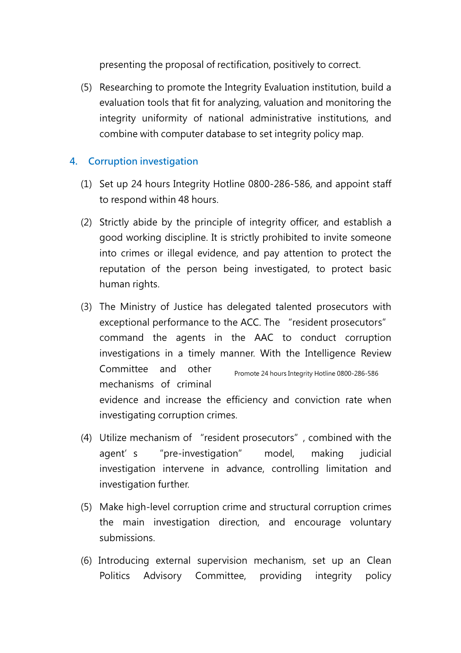presenting the proposal of rectification, positively to correct.

(5) Researching to promote the Integrity Evaluation institution, build a evaluation tools that fit for analyzing, valuation and monitoring the integrity uniformity of national administrative institutions, and combine with computer database to set integrity policy map.

# 4. Corruption investigation

- (1) Set up 24 hours Integrity Hotline 0800-286-586, and appoint staff to respond within 48 hours.
- (2) Strictly abide by the principle of integrity officer, and establish a good working discipline. It is strictly prohibited to invite someone into crimes or illegal evidence, and pay attention to protect the reputation of the person being investigated, to protect basic human rights.
- (3) The Ministry of Justice has delegated talented prosecutors with exceptional performance to the ACC. The "resident prosecutors" command the agents in the AAC to conduct corruption investigations in a timely manner. With the Intelligence Review Committee and other mechanisms of criminal evidence and increase the efficiency and conviction rate when investigating corruption crimes. Promote 24 hours Integrity Hotline 0800-286-586
- (4) Utilize mechanism of "resident prosecutors", combined with the agent's "pre-investigation" model, making judicial investigation intervene in advance, controlling limitation and investigation further.
- (5) Make high-level corruption crime and structural corruption crimes the main investigation direction, and encourage voluntary submissions.
- (6) Introducing external supervision mechanism, set up an Clean Politics Advisory Committee, providing integrity policy